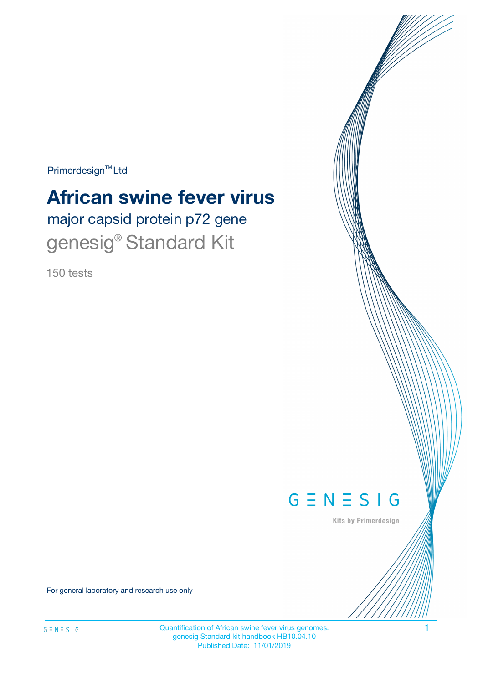$Primerdesign^{\text{TM}}Ltd$ 

# **African swine fever virus**

major capsid protein p72 gene genesig<sup>®</sup> Standard Kit

150 tests



Kits by Primerdesign

For general laboratory and research use only

Quantification of African swine fever virus genomes. 1 genesig Standard kit handbook HB10.04.10 Published Date: 11/01/2019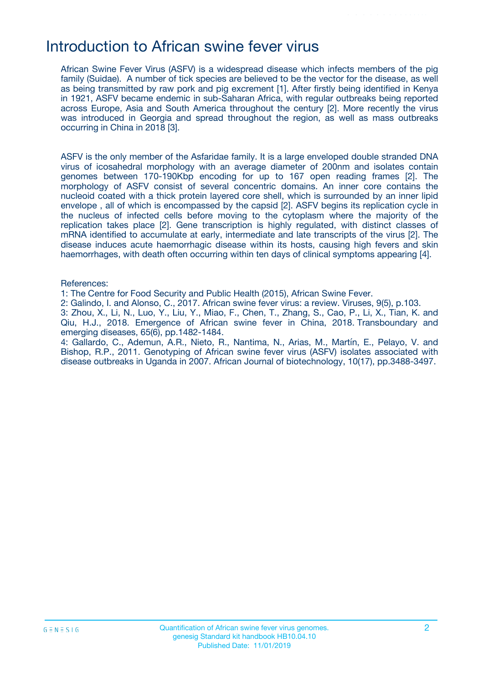### Introduction to African swine fever virus

African Swine Fever Virus (ASFV) is a widespread disease which infects members of the pig family (Suidae). A number of tick species are believed to be the vector for the disease, as well as being transmitted by raw pork and pig excrement [1]. After firstly being identified in Kenya in 1921, ASFV became endemic in sub-Saharan Africa, with regular outbreaks being reported across Europe, Asia and South America throughout the century [2]. More recently the virus was introduced in Georgia and spread throughout the region, as well as mass outbreaks occurring in China in 2018 [3].

ASFV is the only member of the Asfaridae family. It is a large enveloped double stranded DNA virus of icosahedral morphology with an average diameter of 200nm and isolates contain genomes between 170-190Kbp encoding for up to 167 open reading frames [2]. The morphology of ASFV consist of several concentric domains. An inner core contains the nucleoid coated with a thick protein layered core shell, which is surrounded by an inner lipid envelope , all of which is encompassed by the capsid [2]. ASFV begins its replication cycle in the nucleus of infected cells before moving to the cytoplasm where the majority of the replication takes place [2]. Gene transcription is highly regulated, with distinct classes of mRNA identified to accumulate at early, intermediate and late transcripts of the virus [2]. The disease induces acute haemorrhagic disease within its hosts, causing high fevers and skin haemorrhages, with death often occurring within ten days of clinical symptoms appearing [4].

#### References:

1: The Centre for Food Security and Public Health (2015), African Swine Fever.

2: Galindo, I. and Alonso, C., 2017. African swine fever virus: a review. Viruses, 9(5), p.103.

3: Zhou, X., Li, N., Luo, Y., Liu, Y., Miao, F., Chen, T., Zhang, S., Cao, P., Li, X., Tian, K. and Qiu, H.J., 2018. Emergence of African swine fever in China, 2018. Transboundary and emerging diseases, 65(6), pp.1482-1484.

4: Gallardo, C., Ademun, A.R., Nieto, R., Nantima, N., Arias, M., Martín, E., Pelayo, V. and Bishop, R.P., 2011. Genotyping of African swine fever virus (ASFV) isolates associated with disease outbreaks in Uganda in 2007. African Journal of biotechnology, 10(17), pp.3488-3497.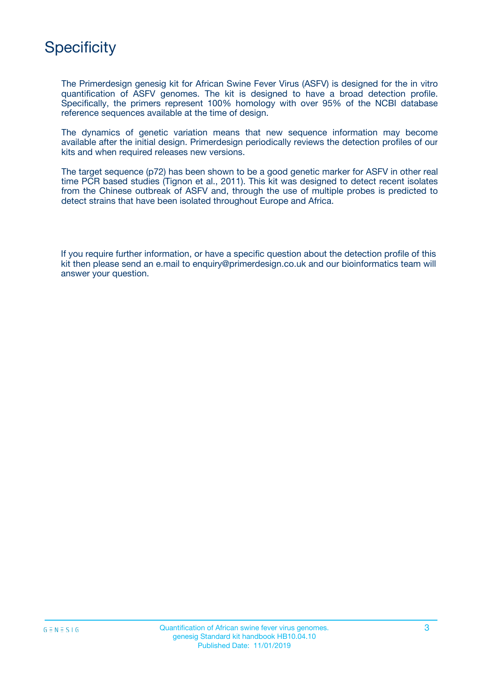# **Specificity**

The Primerdesign genesig kit for African Swine Fever Virus (ASFV) is designed for the in vitro quantification of ASFV genomes. The kit is designed to have a broad detection profile. Specifically, the primers represent 100% homology with over 95% of the NCBI database reference sequences available at the time of design.

The dynamics of genetic variation means that new sequence information may become available after the initial design. Primerdesign periodically reviews the detection profiles of our kits and when required releases new versions.

The target sequence (p72) has been shown to be a good genetic marker for ASFV in other real time PCR based studies (Tignon et al., 2011). This kit was designed to detect recent isolates from the Chinese outbreak of ASFV and, through the use of multiple probes is predicted to detect strains that have been isolated throughout Europe and Africa.

If you require further information, or have a specific question about the detection profile of this kit then please send an e.mail to enquiry@primerdesign.co.uk and our bioinformatics team will answer your question.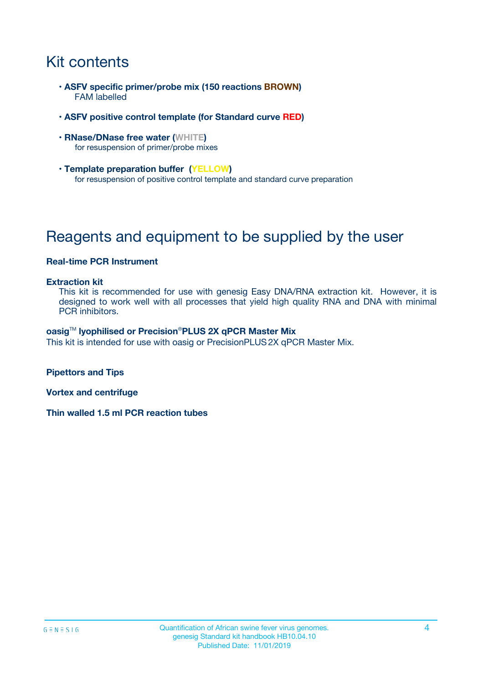# Kit contents

- **ASFV specific primer/probe mix (150 reactions BROWN)** FAM labelled
- **ASFV positive control template (for Standard curve RED)**
- **RNase/DNase free water (WHITE)** for resuspension of primer/probe mixes
- **Template preparation buffer (YELLOW)** for resuspension of positive control template and standard curve preparation

# Reagents and equipment to be supplied by the user

### **Real-time PCR Instrument**

#### **Extraction kit**

This kit is recommended for use with genesig Easy DNA/RNA extraction kit. However, it is designed to work well with all processes that yield high quality RNA and DNA with minimal PCR inhibitors.

#### **oasig**TM **lyophilised or Precision**®**PLUS 2X qPCR Master Mix**

This kit is intended for use with oasig or PrecisionPLUS2X qPCR Master Mix.

**Pipettors and Tips**

**Vortex and centrifuge**

**Thin walled 1.5 ml PCR reaction tubes**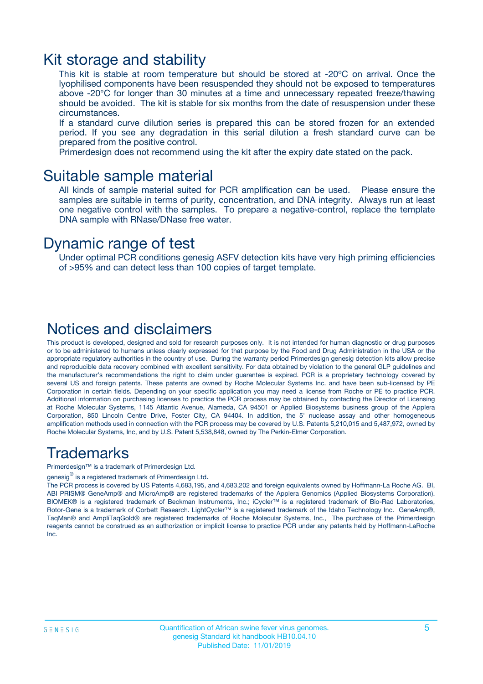### Kit storage and stability

This kit is stable at room temperature but should be stored at -20ºC on arrival. Once the lyophilised components have been resuspended they should not be exposed to temperatures above -20°C for longer than 30 minutes at a time and unnecessary repeated freeze/thawing should be avoided. The kit is stable for six months from the date of resuspension under these circumstances.

If a standard curve dilution series is prepared this can be stored frozen for an extended period. If you see any degradation in this serial dilution a fresh standard curve can be prepared from the positive control.

Primerdesign does not recommend using the kit after the expiry date stated on the pack.

### Suitable sample material

All kinds of sample material suited for PCR amplification can be used. Please ensure the samples are suitable in terms of purity, concentration, and DNA integrity. Always run at least one negative control with the samples. To prepare a negative-control, replace the template DNA sample with RNase/DNase free water.

### Dynamic range of test

Under optimal PCR conditions genesig ASFV detection kits have very high priming efficiencies of >95% and can detect less than 100 copies of target template.

### Notices and disclaimers

This product is developed, designed and sold for research purposes only. It is not intended for human diagnostic or drug purposes or to be administered to humans unless clearly expressed for that purpose by the Food and Drug Administration in the USA or the appropriate regulatory authorities in the country of use. During the warranty period Primerdesign genesig detection kits allow precise and reproducible data recovery combined with excellent sensitivity. For data obtained by violation to the general GLP guidelines and the manufacturer's recommendations the right to claim under guarantee is expired. PCR is a proprietary technology covered by several US and foreign patents. These patents are owned by Roche Molecular Systems Inc. and have been sub-licensed by PE Corporation in certain fields. Depending on your specific application you may need a license from Roche or PE to practice PCR. Additional information on purchasing licenses to practice the PCR process may be obtained by contacting the Director of Licensing at Roche Molecular Systems, 1145 Atlantic Avenue, Alameda, CA 94501 or Applied Biosystems business group of the Applera Corporation, 850 Lincoln Centre Drive, Foster City, CA 94404. In addition, the 5' nuclease assay and other homogeneous amplification methods used in connection with the PCR process may be covered by U.S. Patents 5,210,015 and 5,487,972, owned by Roche Molecular Systems, Inc, and by U.S. Patent 5,538,848, owned by The Perkin-Elmer Corporation.

### Trademarks

Primerdesign™ is a trademark of Primerdesign Ltd.

genesig $^\circledR$  is a registered trademark of Primerdesign Ltd.

The PCR process is covered by US Patents 4,683,195, and 4,683,202 and foreign equivalents owned by Hoffmann-La Roche AG. BI, ABI PRISM® GeneAmp® and MicroAmp® are registered trademarks of the Applera Genomics (Applied Biosystems Corporation). BIOMEK® is a registered trademark of Beckman Instruments, Inc.; iCycler™ is a registered trademark of Bio-Rad Laboratories, Rotor-Gene is a trademark of Corbett Research. LightCycler™ is a registered trademark of the Idaho Technology Inc. GeneAmp®, TaqMan® and AmpliTaqGold® are registered trademarks of Roche Molecular Systems, Inc., The purchase of the Primerdesign reagents cannot be construed as an authorization or implicit license to practice PCR under any patents held by Hoffmann-LaRoche Inc.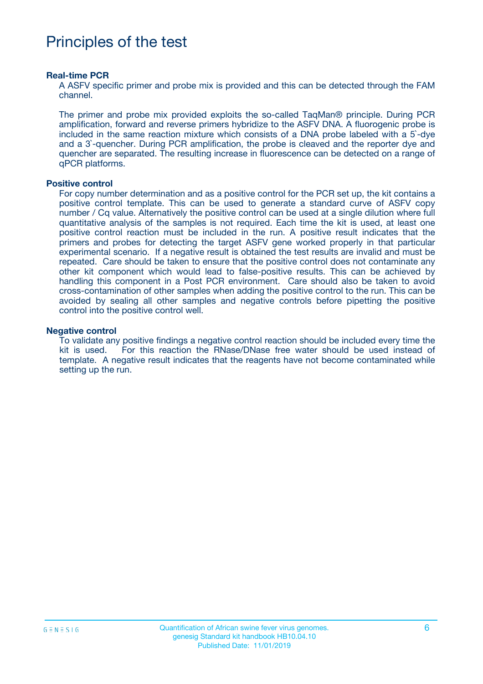# Principles of the test

#### **Real-time PCR**

A ASFV specific primer and probe mix is provided and this can be detected through the FAM channel.

The primer and probe mix provided exploits the so-called TaqMan® principle. During PCR amplification, forward and reverse primers hybridize to the ASFV DNA. A fluorogenic probe is included in the same reaction mixture which consists of a DNA probe labeled with a 5`-dye and a 3`-quencher. During PCR amplification, the probe is cleaved and the reporter dye and quencher are separated. The resulting increase in fluorescence can be detected on a range of qPCR platforms.

#### **Positive control**

For copy number determination and as a positive control for the PCR set up, the kit contains a positive control template. This can be used to generate a standard curve of ASFV copy number / Cq value. Alternatively the positive control can be used at a single dilution where full quantitative analysis of the samples is not required. Each time the kit is used, at least one positive control reaction must be included in the run. A positive result indicates that the primers and probes for detecting the target ASFV gene worked properly in that particular experimental scenario. If a negative result is obtained the test results are invalid and must be repeated. Care should be taken to ensure that the positive control does not contaminate any other kit component which would lead to false-positive results. This can be achieved by handling this component in a Post PCR environment. Care should also be taken to avoid cross-contamination of other samples when adding the positive control to the run. This can be avoided by sealing all other samples and negative controls before pipetting the positive control into the positive control well.

#### **Negative control**

To validate any positive findings a negative control reaction should be included every time the kit is used. For this reaction the RNase/DNase free water should be used instead of template. A negative result indicates that the reagents have not become contaminated while setting up the run.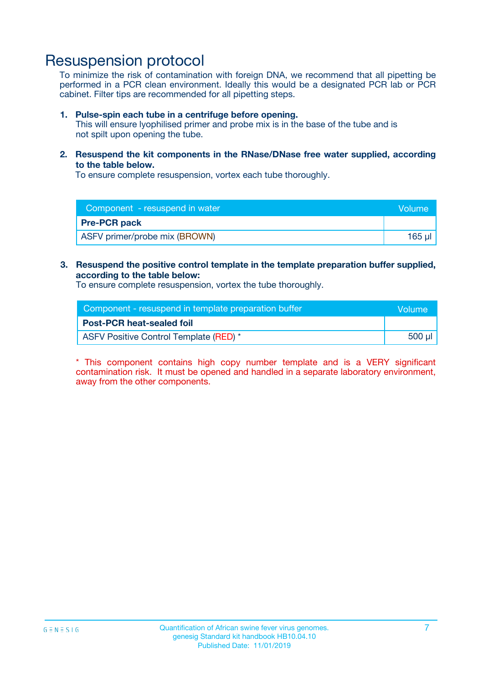## Resuspension protocol

To minimize the risk of contamination with foreign DNA, we recommend that all pipetting be performed in a PCR clean environment. Ideally this would be a designated PCR lab or PCR cabinet. Filter tips are recommended for all pipetting steps.

#### **1. Pulse-spin each tube in a centrifuge before opening.**

This will ensure lyophilised primer and probe mix is in the base of the tube and is not spilt upon opening the tube.

**2. Resuspend the kit components in the RNase/DNase free water supplied, according to the table below.**

To ensure complete resuspension, vortex each tube thoroughly.

| Component - resuspend in water<br>Volume |        |
|------------------------------------------|--------|
| <b>Pre-PCR pack</b>                      |        |
| ASFV primer/probe mix (BROWN)            | 165 ul |

**3. Resuspend the positive control template in the template preparation buffer supplied, according to the table below:**

To ensure complete resuspension, vortex the tube thoroughly.

| Component - resuspend in template preparation buffer |        |  |
|------------------------------------------------------|--------|--|
| <b>Post-PCR heat-sealed foil</b>                     |        |  |
| ASFV Positive Control Template (RED) *               | 500 µl |  |

\* This component contains high copy number template and is a VERY significant contamination risk. It must be opened and handled in a separate laboratory environment, away from the other components.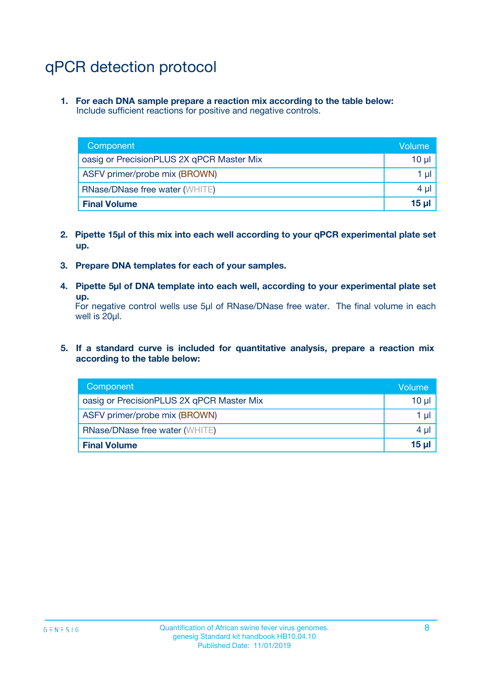# qPCR detection protocol

**1. For each DNA sample prepare a reaction mix according to the table below:** Include sufficient reactions for positive and negative controls.

| Component                                 | Volume          |
|-------------------------------------------|-----------------|
| oasig or PrecisionPLUS 2X qPCR Master Mix | 10 $\mu$        |
| ASFV primer/probe mix (BROWN)             | 1 $\mu$         |
| <b>RNase/DNase free water (WHITE)</b>     | $4 \mu$         |
| <b>Final Volume</b>                       | 15 <sub>µ</sub> |

- **2. Pipette 15µl of this mix into each well according to your qPCR experimental plate set up.**
- **3. Prepare DNA templates for each of your samples.**
- **4. Pipette 5µl of DNA template into each well, according to your experimental plate set up.**

For negative control wells use 5µl of RNase/DNase free water. The final volume in each well is 20µl.

**5. If a standard curve is included for quantitative analysis, prepare a reaction mix according to the table below:**

| Component                                 | Volume          |
|-------------------------------------------|-----------------|
| oasig or PrecisionPLUS 2X qPCR Master Mix | 10 µl           |
| ASFV primer/probe mix (BROWN)             | 1 µI            |
| <b>RNase/DNase free water (WHITE)</b>     | $4 \mu$         |
| <b>Final Volume</b>                       | 15 <sub>µ</sub> |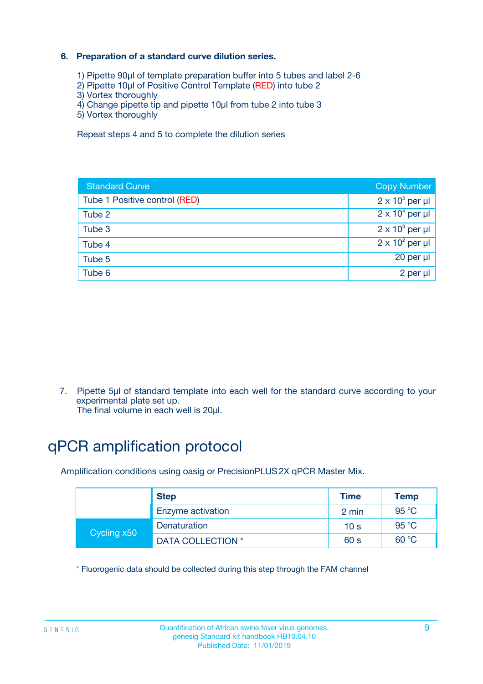### **6. Preparation of a standard curve dilution series.**

- 1) Pipette 90µl of template preparation buffer into 5 tubes and label 2-6
- 2) Pipette 10µl of Positive Control Template (RED) into tube 2
- 3) Vortex thoroughly
- 4) Change pipette tip and pipette 10µl from tube 2 into tube 3
- 5) Vortex thoroughly

Repeat steps 4 and 5 to complete the dilution series

| <b>Standard Curve</b>         | <b>Copy Number</b>     |
|-------------------------------|------------------------|
| Tube 1 Positive control (RED) | $2 \times 10^5$ per µl |
| Tube 2                        | $2 \times 10^4$ per µl |
| Tube 3                        | $2 \times 10^3$ per µl |
| Tube 4                        | $2 \times 10^2$ per µl |
| Tube 5                        | 20 per µl              |
| Tube 6                        | $2$ per $\mu$          |

7. Pipette 5µl of standard template into each well for the standard curve according to your experimental plate set up.

The final volume in each well is 20µl.

# qPCR amplification protocol

Amplification conditions using oasig or PrecisionPLUS2X qPCR Master Mix.

|             | <b>Step</b>       | <b>Time</b>     | Temp           |
|-------------|-------------------|-----------------|----------------|
|             | Enzyme activation | 2 min           | $95^{\circ}$ C |
| Cycling x50 | Denaturation      | 10 <sub>s</sub> | 95 °C          |
|             | DATA COLLECTION * | 60 s            | 60 °C          |

\* Fluorogenic data should be collected during this step through the FAM channel